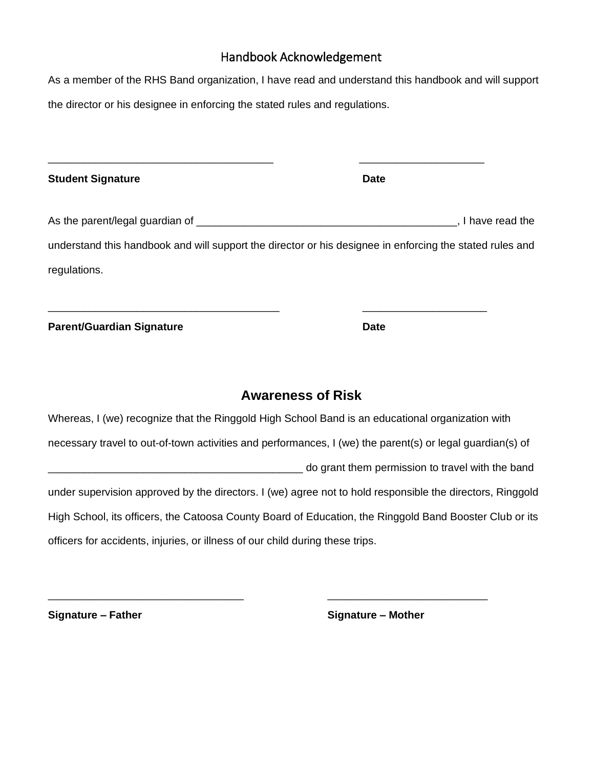## Handbook Acknowledgement

As a member of the RHS Band organization, I have read and understand this handbook and will support the director or his designee in enforcing the stated rules and regulations.

| <b>Student Signature</b>                                                                         | <b>Date</b>                                                                                               |
|--------------------------------------------------------------------------------------------------|-----------------------------------------------------------------------------------------------------------|
|                                                                                                  |                                                                                                           |
|                                                                                                  | understand this handbook and will support the director or his designee in enforcing the stated rules and  |
| regulations.                                                                                     |                                                                                                           |
| <b>Parent/Guardian Signature</b>                                                                 | <b>Date</b>                                                                                               |
|                                                                                                  | <b>Awareness of Risk</b>                                                                                  |
| Whereas, I (we) recognize that the Ringgold High School Band is an educational organization with |                                                                                                           |
|                                                                                                  | necessary travel to out-of-town activities and performances, I (we) the parent(s) or legal guardian(s) of |
|                                                                                                  | do grant them permission to travel with the band                                                          |
|                                                                                                  | under supervision approved by the directors. I (we) agree not to hold responsible the directors, Ringgold |
|                                                                                                  | High School, its officers, the Catoosa County Board of Education, the Ringgold Band Booster Club or its   |
| officers for accidents, injuries, or illness of our child during these trips.                    |                                                                                                           |

\_\_\_\_\_\_\_\_\_\_\_\_\_\_\_\_\_\_\_\_\_\_\_\_\_\_\_\_\_\_\_\_\_ \_\_\_\_\_\_\_\_\_\_\_\_\_\_\_\_\_\_\_\_\_\_\_\_\_\_\_

**Signature – Father Signature – Mother**